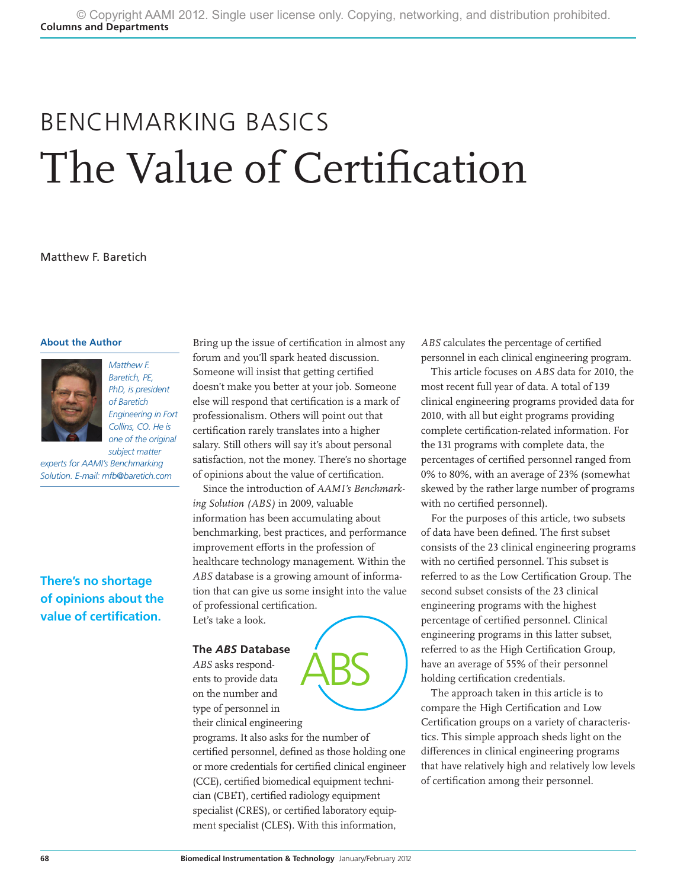# BENCHMARKING BASICS The Value of Certification

#### Matthew F. Baretich

#### **About the Author**



*Baretich, PE, PhD, is president of Baretich Engineering in Fort Collins, CO. He is one of the original* 

*subject matter experts for AAMI's Benchmarking Solution. E-mail: mfb@baretich.com*

**There's no shortage of opinions about the value of certification.**

Bring up the issue of certification in almost any forum and you'll spark heated discussion. Someone will insist that getting certified doesn't make you better at your job. Someone else will respond that certification is a mark of professionalism. Others will point out that certification rarely translates into a higher salary. Still others will say it's about personal satisfaction, not the money. There's no shortage of opinions about the value of certification.

Since the introduction of *AAMI's Benchmarking Solution (ABS)* in 2009, valuable information has been accumulating about benchmarking, best practices, and performance improvement efforts in the profession of healthcare technology management. Within the *ABS* database is a growing amount of information that can give us some insight into the value of professional certification. Let's take a look.

### **The** *ABS* **Database**

*ABS* asks respondents to provide data on the number and type of personnel in their clinical engineering

programs. It also asks for the number of certified personnel, defined as those holding one or more credentials for certified clinical engineer (CCE), certified biomedical equipment technician (CBET), certified radiology equipment specialist (CRES), or certified laboratory equipment specialist (CLES). With this information,

ABS

*ABS* calculates the percentage of certified personnel in each clinical engineering program.

This article focuses on *ABS* data for 2010, the most recent full year of data. A total of 139 clinical engineering programs provided data for 2010, with all but eight programs providing complete certification-related information. For the 131 programs with complete data, the percentages of certified personnel ranged from 0% to 80%, with an average of 23% (somewhat skewed by the rather large number of programs with no certified personnel).

For the purposes of this article, two subsets of data have been defined. The first subset consists of the 23 clinical engineering programs with no certified personnel. This subset is referred to as the Low Certification Group. The second subset consists of the 23 clinical engineering programs with the highest percentage of certified personnel. Clinical engineering programs in this latter subset, referred to as the High Certification Group, have an average of 55% of their personnel holding certification credentials.

The approach taken in this article is to compare the High Certification and Low Certification groups on a variety of characteristics. This simple approach sheds light on the differences in clinical engineering programs that have relatively high and relatively low levels of certification among their personnel.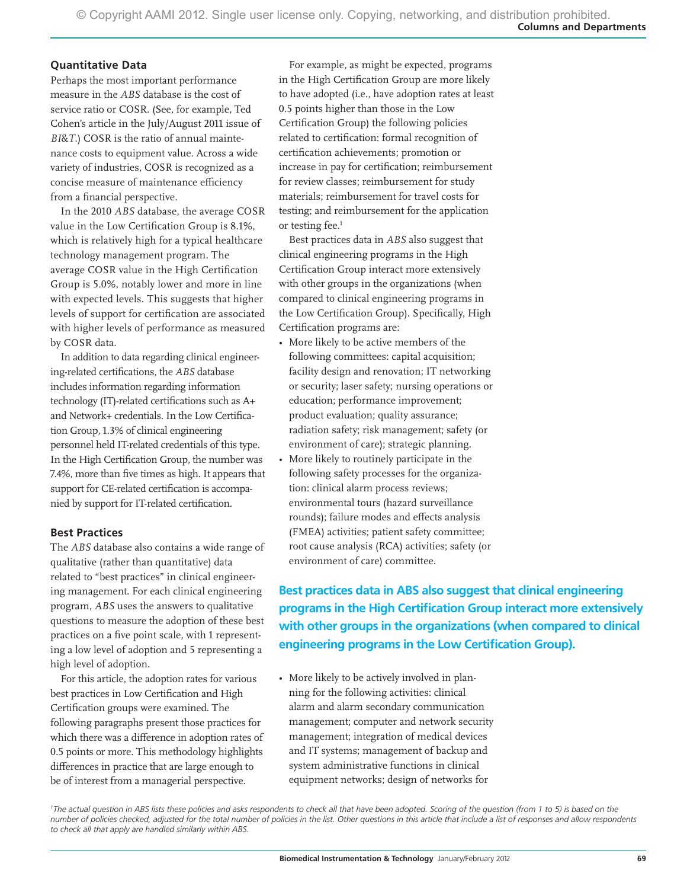### **Quantitative Data**

Perhaps the most important performance measure in the *ABS* database is the cost of service ratio or COSR. (See, for example, Ted Cohen's article in the July/August 2011 issue of *BI*&*T*.) COSR is the ratio of annual maintenance costs to equipment value. Across a wide variety of industries, COSR is recognized as a concise measure of maintenance efficiency from a financial perspective.

In the 2010 *ABS* database, the average COSR value in the Low Certification Group is 8.1%, which is relatively high for a typical healthcare technology management program. The average COSR value in the High Certification Group is 5.0%, notably lower and more in line with expected levels. This suggests that higher levels of support for certification are associated with higher levels of performance as measured by COSR data.

In addition to data regarding clinical engineering-related certifications, the *ABS* database includes information regarding information technology (IT)-related certifications such as A+ and Network+ credentials. In the Low Certification Group, 1.3% of clinical engineering personnel held IT-related credentials of this type. In the High Certification Group, the number was 7.4%, more than five times as high. It appears that support for CE-related certification is accompanied by support for IT-related certification.

## **Best Practices**

The *ABS* database also contains a wide range of qualitative (rather than quantitative) data related to "best practices" in clinical engineering management. For each clinical engineering program, *ABS* uses the answers to qualitative questions to measure the adoption of these best practices on a five point scale, with 1 representing a low level of adoption and 5 representing a high level of adoption.

For this article, the adoption rates for various best practices in Low Certification and High Certification groups were examined. The following paragraphs present those practices for which there was a difference in adoption rates of 0.5 points or more. This methodology highlights differences in practice that are large enough to be of interest from a managerial perspective.

For example, as might be expected, programs in the High Certification Group are more likely to have adopted (i.e., have adoption rates at least 0.5 points higher than those in the Low Certification Group) the following policies related to certification: formal recognition of certification achievements; promotion or increase in pay for certification; reimbursement for review classes; reimbursement for study materials; reimbursement for travel costs for testing; and reimbursement for the application or testing fee.<sup>1</sup>

Best practices data in *ABS* also suggest that clinical engineering programs in the High Certification Group interact more extensively with other groups in the organizations (when compared to clinical engineering programs in the Low Certification Group). Specifically, High Certification programs are:

- • More likely to be active members of the following committees: capital acquisition; facility design and renovation; IT networking or security; laser safety; nursing operations or education; performance improvement; product evaluation; quality assurance; radiation safety; risk management; safety (or environment of care); strategic planning.
- More likely to routinely participate in the following safety processes for the organization: clinical alarm process reviews; environmental tours (hazard surveillance rounds); failure modes and effects analysis (FMEA) activities; patient safety committee; root cause analysis (RCA) activities; safety (or environment of care) committee.

**Best practices data in ABS also suggest that clinical engineering programs in the High Certification Group interact more extensively with other groups in the organizations (when compared to clinical engineering programs in the Low Certification Group).**

• More likely to be actively involved in planning for the following activities: clinical alarm and alarm secondary communication management; computer and network security management; integration of medical devices and IT systems; management of backup and system administrative functions in clinical equipment networks; design of networks for

<sup>1</sup>The actual question in ABS lists these policies and asks respondents to check all that have been adopted. Scoring of the question (from 1 to 5) is based on the *number of policies checked, adjusted for the total number of policies in the list. Other questions in this article that include a list of responses and allow respondents to check all that apply are handled similarly within ABS.*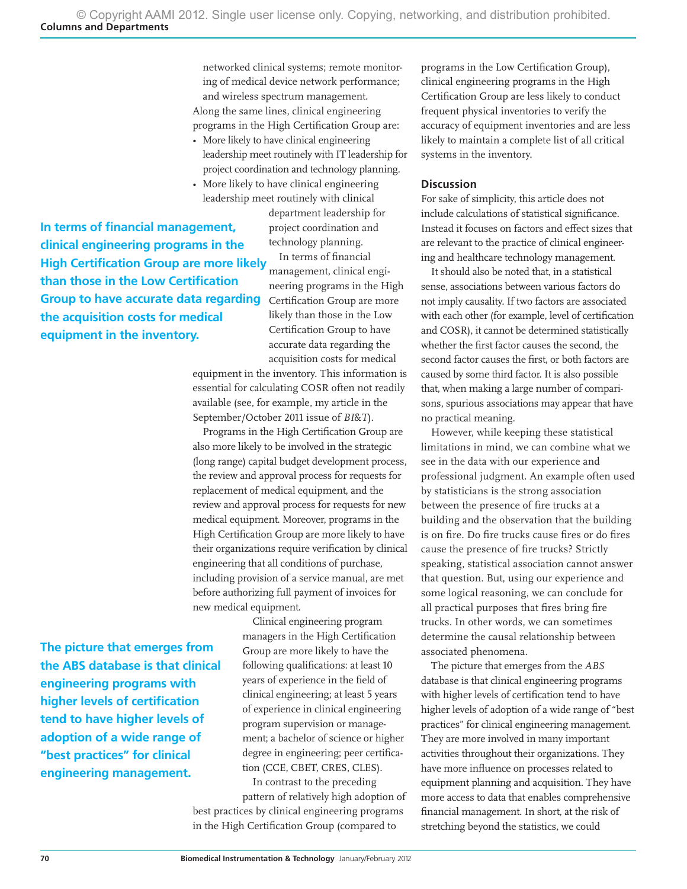networked clinical systems; remote monitoring of medical device network performance; and wireless spectrum management. Along the same lines, clinical engineering programs in the High Certification Group are:

- More likely to have clinical engineering leadership meet routinely with IT leadership for project coordination and technology planning.
- More likely to have clinical engineering leadership meet routinely with clinical department leadership for

project coordination and technology planning.

In terms of financial management, clinical engineering programs in the High Group to have accurate data regarding Certification Group are more likely than those in the Low Certification Group to have accurate data regarding the acquisition costs for medical **High Certification Group are more likely** 

equipment in the inventory. This information is essential for calculating COSR often not readily available (see, for example, my article in the September/October 2011 issue of *BI*&*T*).

Programs in the High Certification Group are also more likely to be involved in the strategic (long range) capital budget development process, the review and approval process for requests for replacement of medical equipment, and the review and approval process for requests for new medical equipment. Moreover, programs in the High Certification Group are more likely to have their organizations require verification by clinical engineering that all conditions of purchase, including provision of a service manual, are met before authorizing full payment of invoices for new medical equipment.

**The picture that emerges from the ABS database is that clinical engineering programs with higher levels of certification tend to have higher levels of adoption of a wide range of "best practices" for clinical engineering management.**

**In terms of financial management, clinical engineering programs in the** 

**than those in the Low Certification** 

**the acquisition costs for medical equipment in the inventory.**

> Clinical engineering program managers in the High Certification Group are more likely to have the following qualifications: at least 10 years of experience in the field of clinical engineering; at least 5 years of experience in clinical engineering program supervision or management; a bachelor of science or higher degree in engineering; peer certification (CCE, CBET, CRES, CLES).

In contrast to the preceding pattern of relatively high adoption of best practices by clinical engineering programs in the High Certification Group (compared to

programs in the Low Certification Group), clinical engineering programs in the High Certification Group are less likely to conduct frequent physical inventories to verify the accuracy of equipment inventories and are less likely to maintain a complete list of all critical systems in the inventory.

#### **Discussion**

For sake of simplicity, this article does not include calculations of statistical significance. Instead it focuses on factors and effect sizes that are relevant to the practice of clinical engineering and healthcare technology management.

It should also be noted that, in a statistical sense, associations between various factors do not imply causality. If two factors are associated with each other (for example, level of certification and COSR), it cannot be determined statistically whether the first factor causes the second, the second factor causes the first, or both factors are caused by some third factor. It is also possible that, when making a large number of comparisons, spurious associations may appear that have no practical meaning.

However, while keeping these statistical limitations in mind, we can combine what we see in the data with our experience and professional judgment. An example often used by statisticians is the strong association between the presence of fire trucks at a building and the observation that the building is on fire. Do fire trucks cause fires or do fires cause the presence of fire trucks? Strictly speaking, statistical association cannot answer that question. But, using our experience and some logical reasoning, we can conclude for all practical purposes that fires bring fire trucks. In other words, we can sometimes determine the causal relationship between associated phenomena.

The picture that emerges from the *ABS* database is that clinical engineering programs with higher levels of certification tend to have higher levels of adoption of a wide range of "best practices" for clinical engineering management. They are more involved in many important activities throughout their organizations. They have more influence on processes related to equipment planning and acquisition. They have more access to data that enables comprehensive financial management. In short, at the risk of stretching beyond the statistics, we could